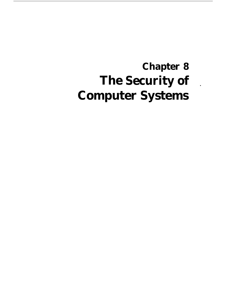# **The Security of Chapter 8 Computer Systems**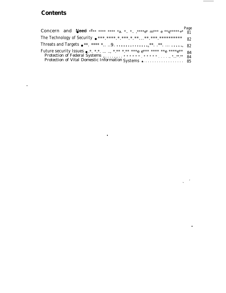### **Contents**

 $\ddot{\phantom{a}}$ 

| <b>Concern and Need:</b> **** **** *a. * * ,****e* $m***e$ **q****** <sub>*</sub> * 81 |  |
|----------------------------------------------------------------------------------------|--|
| The Technology of Security $e^{***.****.*.**.*.*.***.****.**********}$ 82              |  |
|                                                                                        |  |
|                                                                                        |  |
| Protection of Vital Domestic Information Systems  85                                   |  |

 $\bullet$ 

 $\overline{\phantom{a}}$  $\overline{\phantom{0}}$ 

 $\bar{\mathbf{v}}$ 

 $\hat{\textbf{z}}$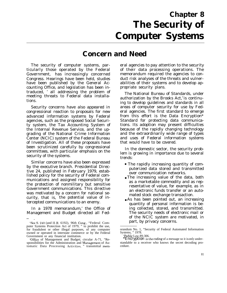## **Chapter 8 The Security of Computer Systems**

## **Concern and Need**

The security of computer systems, particularly those operated by the Federal Government, has increasingly concerned Congress. Hearings have been held, studies have been published by the General Accounting Office, and legislation has been intraduced, ' all addressing the problem of meeting threats to Federal data installations.

Security concerns have also appeared in congressional reaction to proposals for new advanced information systems by Federal agencies, such as the proposed Social Security system, the Tax Accounting System of the Internal Revenue Service, and the upgrading of the National Crime Information Center (NCIC) system of the Federal Bureau of Investigation. All of these proposals have been scrutinized carefully by congressional committees, with particular emphasis on the security of the systems.

Similar concerns have also been expressed by the executive branch. Presidential Directive 24, published in February 1979, established policy for the security of Federal communications and assigned responsibility for the protection of nonmilitary but sensitive Government communications. This directive was motivated by a concern for national security, that is, the potential value of intercepted communications to an enemy.

In a 1978 memorandum,' the Office of Management and Budget directed all Fed-

— .

eral agencies to pay attention to the security of their data processing operations. The memorandum required the agencies to conduct risk analyses of the threats and vulnerabilities of their systems and to develop appropriate security plans.

The National Bureau of Standards, under authorization by the Brooks  $Act<sub>1</sub><sup>3</sup>$  is continuing to develop guidelines and standards in all areas of computer security for use by Federal agencies. The first standard to emerge from this effort is the Data Encryption\* Standard for protecting data communications. Its adoption may present difficulties because of the rapidly changing technology and the extraordinarily wide range of types and uses of Federal information systems that would have to be covered.

In the domestic sector, the security problem is growing in importance due to several trends:

- The rapidly increasing quantity of computerized data stored and transmitted over communication networks.
- The increasing value of the data, both as a marketable commodity and as representative of value, for example, as in an electronic funds transfer or an automated stock exchange transaction.
- As has been pointed out, an increasing quantity of personal information is being collected, stored, and transmitted. The security needs of electronic mail or of the NCIC system are motivated, in part, by privacy concerns.

<sup>&#</sup>x27;See S. 2J0 (and H.R. 6192), 96th Cong., "Federal Computer Systems Protection Act of 1979, " to prohibit the use, for fraudulent or other illegal purposes, of any computer owned or operated in interstate commerce or by the Federal Government or any financial institution.

<sup>&</sup>lt;sup>2</sup>Office of Management and Budget; circular A-71, "Responsibilities for the Administration and Management of Automatic Data Processing Activities, " transmittal mem-

orandum No. 1, "Security of Federal Automated Information Systems, " 1978.

<sup>&#</sup>x27;Public Law 89-306.

<sup>\*</sup>**Encryption** is the coding of a message so it is only understandable to a receiver who knows the secret decoding procedure.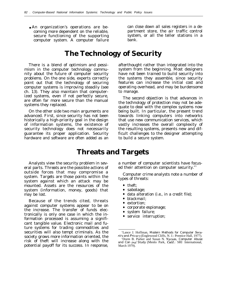coming more dependent on the reliable, and partment store, the air traffic control<br>secure functioning of the supporting system, or all the teller stations in a secure functioning of the supporting computer system. A computer failure bank.

• An organization's operations are be-<br>coming more dependent on the reliable, and partment store, the air traffic control

### **The Technology of Security**

There is a blend of optimism and pessimism in the computer technology community about the future of computer security problems. On the one side, experts correctly point out that the technology of securing computer systems is improving steadily (see ch. 13). They also maintain that computerized systems, even if not perfectly secure, are often far more secure than the manual systems they replaced.

On the other side two main arguments are advanced. First, since security has not been historically a high-priority goal in the design of information systems, the existence of security technology does not necessarily guarantee its proper application. Security hardware and software are often added as an

afterthought rather than integrated into the system from the beginning. Most designers have not been trained to build security into the systems they assemble, since security features can increase the initial cost and operating overhead, and may be burdensome to manage.

The second objection is that advances in the technology of protection may not be adequate to deal with the complex systems now being built. In particular, the present trend towards linking computers into networks that use new communication services, which vastly increases the overall complexity of the resulting systems, presents new and difficult challenges to the designer attempting to build a secure system.

#### **Threats and Targets**

Analysts view the security problem in several parts. *Threats* are the possible actions of outside forces that may compromise a system. *Targets* are those points within the system against which an attack may be mounted. Assets are the resources of the system (information, money, goods) that may be lost.

Because of the trends cited, threats against computer systems appear to be on the increase. The transfer of funds electronically is only one case in which the information processed is assuming a significant tangible value. Electronic mail and future systems for trading commodities and securities will also tempt criminals. As the society grows more information oriented, the risk of theft will increase along with the potential payoff for its success. In response, a number of computer scientists have focused their attention on computer security.<sup>45</sup>

Computer crime analysts note a number of types of threats:

- $\bullet$ theft;
- $\bullet$ sabotage;
- data alteration (i.e., in a credit file);
- blackmail;
- extortion;
- corporate espionage;
- system failure;
- service interruption;

<sup>&#</sup>x27;Lance J. Hoffman, *Modern Methods for Computer Secu-* $$ 

<sup>&#</sup>x27;Dorm B. Parker and Susan N. Nycum, *Computer Abuse and Con trol Study* (Menlo Park, Calif.: SRI International, March 1979).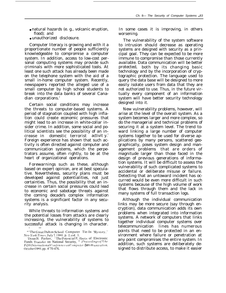- natural hazards (e. g., volcanic eruption, flood); and
- unauthorized disclosure.

Computer literacy is growing and with it a proportionate number of people sufficiently knowledgeable to compromise a computer system. In addition, access to low-cost personal computing systems may provide such criminals with more sophisticated tools. At least one such attack has already been made on the telephone system with the aid of a small in-home computer system. Recently, newspapers reported the alleged use of a small computer by high school students to break into the data banks of several Canadian corporations.'

Certain social conditions may increase the threats to computer-based systems. A period of stagnation coupled with high inflation could create economic pressures that might lead to an increase in white-collar insider crime. In addition, some social and political scientists see the possibility of an increase in domestic terrorist activit y.<sup>7</sup> Foreign experience has shown that such activity is often directed against computer and communication systems, which the perpetrators assume, often rightly, to be at the heart of organizational operations.

Forewarnings such as these, although based on expert opinion, are at best speculative. Nevertheless, security plans must be developed against potentialities, not just certainties. Thus, the possibility that an increase in certain social pressures could lead to economic and sabotage threats against the coming decade's complex information systems is a significant factor in any security analysis.

While threats to information systems and the potential losses from attacks are clearly increasing, the vulnerability of systems to successful attack is changing in character.

In some cases it is improving, in others worsening.

The vulnerability of the system software to intrusion should decrease as operating systems are designed with security as a principal goal. They can be expected to be more immune to compromise than those currently available. Data communication will be better protected, both by its changing basic technology and by the incorporation of cryptographic protection. The language used to query the data base will be designed to more easily isolate users from data that they are not authorized to use. Thus, in the future virtually every component of an information system will have better security technology designed into it.

New vulnerability problems, however, will arise at the level of the overall system. As a system becomes larger and more complex, so do the managerial and technical problems of securing it at a system level. The trend toward linking a large number of computer systems together to be used for diverse applications by many persons, scattered geographically, poses system design and management problems that are orders of magnitude larger than those faced in the design of previous generations of information systems. It will be difficult to assess the vulnerability of such complicated systems to accidental or deliberate misuse or failure. Detecting that an untoward incident has occurred would be even more difficult in such systems because of the high volume of work that flows through them and the lack in many systems of full transaction logs.

Although the individual communication links may be more secure (say through encryption), data communication adds its own problems when integrated into information systems. A network of computers that links together individual computer systems over telecommunication lines has numerous points that need to be protected in an environment where failure or penetration at any point compromises the entire system. In addition, such systems are deliberately designed to distribute access, to make it easier

<sup>—</sup> — "The Great Dalton School Computer Tie-In Mystery," ,1'e{<+ *}'{)rk Times,* tJul\ 7, 1980, p. 2, CO1. 1.

<sup>&#</sup>x27;Donn B. Parker, "The Potential F; ffects of Electronic Funds Transfer on National Security, " Proceedings of the *b*'ifthInternationalConference onComputer  $\ell$ em m unication, October1980, pp. 4'70-476.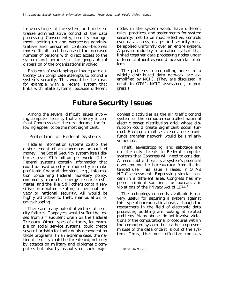for users to get at the system, and to decentralize administrative control of the data processing. Consequently, security management—setting up and overseeing administrative and personnel controls—becomes more difficult, both because of the increased number of persons with direct access to the system and because of the geographical dispersion of the organizations involved.

Problems of overlapping or inadequate authority can complicate attempts to control a system's security. This would be the case, for example, with a Federal system that links with State systems, because different nodes in the system would have different rules, practices, and assignments for system security. Yet to be most effective, controls over data access, usage, and security must be applied uniformly over an entire system. A private industry information system that linked together data processing nodes under different authorities would face similar problems.

The problems of controlling access in a widely distributed data network are exemplified by NCIC. (They are discussed in detail in OTA's NCIC assessment, in progress.)

### **Future Security Issues**

Among the several difficult issues involving computer security that are likely to confront Congress over the next decade, the following appear to be the most significant.

#### Protection of Federal Systems

Federal information systems control the disbursement of an enormous amount of money. The Social Security system itself disburses over \$1.5 billion per week. Other Federal systems contain information that could be used directly or indirectly to make profitable financial decisions, e.g., information concerning Federal monetary policy, commodity markets, energy resource estimates, and the like. Still others contain sensitive information relating to personal privacy or national security. All would be highly attractive to theft, manipulation, or eavesdropping.

There are many potential victims of security failures. Taxpayers would suffer the losses from a fraudulent drain on the Federal Treasury. Other types of attacks, for example on social service systems, could create severe hardship for individuals dependent on those programs. In an extreme case, the national security could be threatened, not only by attacks on military and diplomatic computers but also by assaults on such major

domestic activities as the air traffic control system or the computer-controlled national electric power distribution grid, whose disruption could create significant social turmoil. Electronic mail service or an electronic funds transfer network would be similarly vulnerable.

Theft, eavesdropping, and sabotage are not the only threats to Federal computer systems that Congress will need to consider. A more subtle threat is a system's potential diversion by the bureaucracy from its intended use. This issue is raised in OTA's NCIC assessment. Expressing similar concern in a different area, Congress has imposed criminal sanctions for bureaucratic violations of the Privacy Act of 1974.<sup>8</sup>

The technology currently available is not very useful for securing a system against this type of bureaucratic abuse, although the researchers in the field of electronic data processing auditing are looking at related problems. Many abuses do not involve violations of the computational procedures within the computer system, but rather represent misuse of the data once it is out of the system. Thus, the most effective controls

<sup>&#</sup>x27;Public Law 93-579.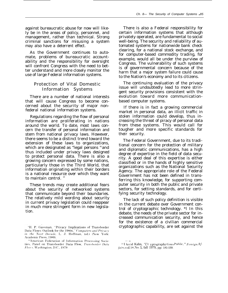against bureaucratic abuse for now will likely be in the areas of policy, personnel, and management, rather than technical. Strong criminal sanctions for misusing a system may also have a deterrent effect.

As the Government continues to automate, problems of bureaucratic accountability and the responsibility for oversight will confront Congress with the need to better understand and more closely monitor the use of large Federal information systems.

#### Protection of Vital Domestic Information Systems

There are a number of national interests that will cause Congress to become concerned about the security of major nonfederal national information systems.

Regulations regarding the flow of personal information are proliferating in nations around the world. To date, most laws concern the transfer of personal information and stem from national privacy laws. However, there seems to be a distinct trend toward the extension of these laws to organizations, which are designated as "legal persons "and thus included under privacy laws designed to protect personal data. There is also a growing concern expressed by some nations, particularly those in the Third World, that information originating within their borders is a national resource over which they want to maintain control.  $10$ 

These trends may create additional fears about the security of networked systems that communicate beyond their boundaries. The relatively mild wording about security in current privacy legislation could reappear in much more stringent form in new legislation.

There is also a Federal responsibility for certain information systems that although privately operated, are fundamental to social well-being. The security and reliability of automated systems for nationwide bank check clearing, for a national stock exchange, and for computer-based commodity trading, for example, would all be under the purview of Congress. The vulnerability of such systems is of governmental concern because of the harm that a major system failure could cause to the Nation's economy and to its citizens.

The continuing evaluation of the privacy issue will undoubtedly lead to more stringent security provisions consistent with the evolution toward more communicationbased computer systems.

If there is in fact a growing commercial market in personal data, an illicit traffic in stolen information could develop, thus increasing the threat of piracy of personal data from these systems. This would call for tougher and more specific standards for their security.

The Federal Government, due to its traditional concern for the protection of military and diplomatic communications, has a high degree of expertise in the field of data security. A good deal of this expertise is either classified or in the hands of highly sensitive organizations such as the National Security Agency. The appropriate role of the Federal Government has not been defined in transferring this knowledge, for supporting computer security in both the public and private sectors, for setting standards, and for certifying security technology.

The lack of such policy definition is visible in the current debate over Government control of cryptographic technology. \*l In this debate, the needs of the private sector for increased communication security, and hence for the existence of a civilian commercial cryptographic capability, are set against the

<sup>&</sup>lt;sup>9</sup>H. P. Gassman, "Privacy Implications of Transborder Data Flows: Outlook for the 1980s," Computers and Privacy<br>in the Next Decade, L. J. Hoffman, (ed.) (New York: Academic Press, 1980).

<sup>&</sup>lt;sup>10</sup>American Federation of Information Processing Societies, Panel on Transborder Data Flow, Transborder Data Flows, Washington, D.C., 1979.

<sup>.—</sup> — "I )avid Kahn, "('r yptography Goes Public," Foreign Af*fi~ir.s, Y{)]. 5X, N(), 1,* fall 1979, pp. 141-159.